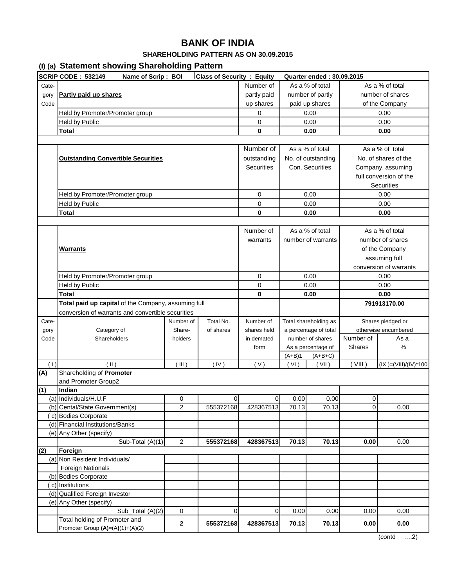### **SHAREHOLDING PATTERN AS ON 30.09.2015**

### **(I) (a) Statement showing Shareholding Pattern**

|       | $(7)$ $(4)$ statistics states of $(2)$<br><b>SCRIP CODE: 532149</b><br>Name of Scrip: BOI | <b>Class of Security: Equity</b> | Quarter ended: 30.09.2015 |                   |                  |                       |                        |                           |  |
|-------|-------------------------------------------------------------------------------------------|----------------------------------|---------------------------|-------------------|------------------|-----------------------|------------------------|---------------------------|--|
| Cate- |                                                                                           |                                  |                           | Number of         |                  | As a % of total       |                        | As a % of total           |  |
| gory  | Partly paid up shares                                                                     | partly paid                      |                           | number of partly  | number of shares |                       |                        |                           |  |
| Code  |                                                                                           | up shares                        |                           | paid up shares    | of the Company   |                       |                        |                           |  |
|       | Held by Promoter/Promoter group                                                           |                                  |                           | 0                 |                  | 0.00                  |                        | 0.00                      |  |
|       | Held by Public                                                                            |                                  |                           | 0                 |                  | 0.00                  |                        | 0.00                      |  |
|       | <b>Total</b>                                                                              |                                  |                           | $\mathbf 0$       |                  | 0.00                  |                        | 0.00                      |  |
|       |                                                                                           |                                  |                           |                   |                  |                       |                        |                           |  |
|       |                                                                                           |                                  |                           | Number of         |                  | As a % of total       | As a % of total        |                           |  |
|       |                                                                                           |                                  |                           | outstanding       |                  | No. of outstanding    |                        | No. of shares of the      |  |
|       | <b>Outstanding Convertible Securities</b>                                                 |                                  |                           | <b>Securities</b> |                  | Con. Securities       |                        |                           |  |
|       |                                                                                           |                                  |                           |                   |                  |                       | Company, assuming      |                           |  |
|       |                                                                                           |                                  |                           |                   |                  |                       |                        | full conversion of the    |  |
|       |                                                                                           |                                  |                           |                   |                  |                       |                        | <b>Securities</b>         |  |
|       | Held by Promoter/Promoter group                                                           |                                  |                           | 0                 |                  | 0.00                  |                        | 0.00                      |  |
|       | Held by Public                                                                            |                                  |                           | 0                 |                  | 0.00                  |                        | 0.00                      |  |
|       | <b>Total</b>                                                                              |                                  |                           | 0                 |                  | 0.00                  |                        | 0.00                      |  |
|       |                                                                                           |                                  |                           |                   |                  |                       |                        |                           |  |
|       |                                                                                           |                                  |                           | Number of         |                  | As a % of total       |                        | As a % of total           |  |
|       |                                                                                           |                                  |                           | warrants          |                  | number of warrants    |                        | number of shares          |  |
|       | <b>Warrants</b>                                                                           |                                  |                           |                   |                  |                       |                        | of the Company            |  |
|       |                                                                                           |                                  |                           |                   |                  |                       | assuming full          |                           |  |
|       |                                                                                           |                                  |                           |                   |                  |                       | conversion of warrants |                           |  |
|       | Held by Promoter/Promoter group                                                           |                                  |                           | 0                 | 0.00             |                       | 0.00                   |                           |  |
|       | <b>Held by Public</b>                                                                     |                                  |                           | 0                 | 0.00             |                       | 0.00                   |                           |  |
|       | <b>Total</b>                                                                              |                                  |                           | $\mathbf 0$       |                  | 0.00                  |                        | 0.00                      |  |
|       | Total paid up capital of the Company, assuming full                                       |                                  |                           |                   |                  |                       |                        | 791913170.00              |  |
|       | conversion of warrants and convertible securities                                         |                                  |                           |                   |                  |                       |                        |                           |  |
| Cate- |                                                                                           | Number of                        | Total No.                 | Number of         |                  | Total shareholding as |                        | Shares pledged or         |  |
| gory  | Category of                                                                               | Share-                           | of shares                 | shares held       |                  | a percentage of total |                        | otherwise encumbered      |  |
| Code  | Shareholders                                                                              | holders                          |                           | in demated        |                  | number of shares      | Number of              | As a                      |  |
|       |                                                                                           |                                  |                           | form              |                  | As a percentage of    | <b>Shares</b>          | %                         |  |
|       |                                                                                           |                                  |                           |                   | $(A+B)1$         | $(A+B+C)$             |                        |                           |  |
| (1)   | (  )                                                                                      | (III)                            | (IV)                      | (V)               | (VI)             | (VII)                 | (VIII)                 | $(IX) = (VIII)/(IV)^*100$ |  |
| (A)   | Shareholding of Promoter                                                                  |                                  |                           |                   |                  |                       |                        |                           |  |
|       | and Promoter Group2                                                                       |                                  |                           |                   |                  |                       |                        |                           |  |
| (1)   | Indian                                                                                    |                                  |                           |                   |                  |                       |                        |                           |  |
|       | (a) Individuals/H.U.F                                                                     | 0                                | $\overline{0}$            | $\overline{0}$    | 0.00             | 0.00                  | $\overline{0}$         |                           |  |
|       | (b) Cental/State Government(s)<br>c) Bodies Corporate                                     | $\overline{\mathbf{c}}$          | 555372168                 | 428367513         | 70.13            | 70.13                 | $\overline{0}$         | 0.00                      |  |
|       | (d) Financial Institutions/Banks                                                          |                                  |                           |                   |                  |                       |                        |                           |  |
|       | (e) Any Other (specify)                                                                   |                                  |                           |                   |                  |                       |                        |                           |  |
|       | Sub-Total (A)(1)                                                                          | $\overline{2}$                   | 555372168                 | 428367513         | 70.13            | 70.13                 | 0.00                   | 0.00                      |  |
| (2)   | Foreign                                                                                   |                                  |                           |                   |                  |                       |                        |                           |  |
|       | (a) Non Resident Individuals/                                                             |                                  |                           |                   |                  |                       |                        |                           |  |
|       | <b>Foreign Nationals</b>                                                                  |                                  |                           |                   |                  |                       |                        |                           |  |
|       | (b) Bodies Corporate                                                                      |                                  |                           |                   |                  |                       |                        |                           |  |
|       | c) Institutions                                                                           |                                  |                           |                   |                  |                       |                        |                           |  |
|       | (d) Qualified Foreign Investor                                                            |                                  |                           |                   |                  |                       |                        |                           |  |
|       | (e) Any Other (specify)                                                                   |                                  |                           |                   |                  |                       |                        |                           |  |
|       | Sub_Total (A)(2)                                                                          | 0                                | 0                         | 0                 | 0.00             | 0.00                  | 0.00                   | 0.00                      |  |
|       | Total holding of Promoter and                                                             |                                  |                           |                   |                  |                       |                        |                           |  |
|       | Promoter Group (A)=(A)(1)+(A)(2)                                                          | $\mathbf{2}$                     | 555372168                 | 428367513         | 70.13            | 70.13                 | 0.00                   | 0.00                      |  |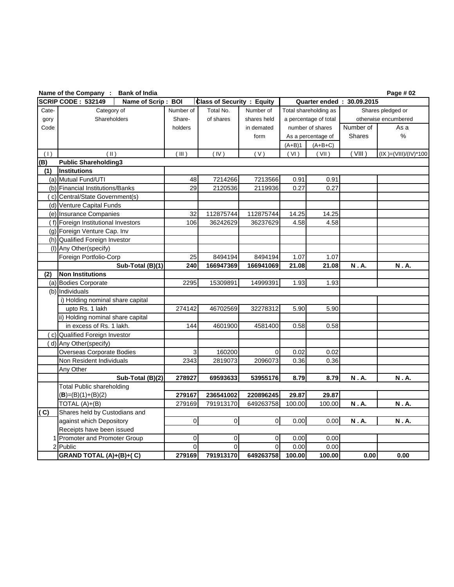|       | Name of the Company : Bank of India             |             |                                   |                |          |                       |                           | Page # 02               |
|-------|-------------------------------------------------|-------------|-----------------------------------|----------------|----------|-----------------------|---------------------------|-------------------------|
|       | <b>SCRIP CODE: 532149</b><br>Name of Scrip: BOI |             | <b>Class of Security : Equity</b> |                |          |                       | Quarter ended: 30.09.2015 |                         |
| Cate- | Category of                                     | Number of   | Total No.                         | Number of      |          | Total shareholding as |                           | Shares pledged or       |
| gory  | Shareholders                                    | Share-      | of shares                         | shares held    |          | a percentage of total |                           | otherwise encumbered    |
| Code  |                                                 | holders     |                                   | in demated     |          | number of shares      | Number of                 | As a                    |
|       |                                                 |             |                                   | form           |          | As a percentage of    | <b>Shares</b>             | $\%$                    |
|       |                                                 |             |                                   |                | $(A+B)1$ | $(A+B+C)$             |                           |                         |
| (1)   | $(\parallel)$                                   | (III)       | (IV)                              | (V)            | (VI)     | (VII)                 | (VIII)                    | $(IX )=(VIII)/(IV)*100$ |
| (B)   | <b>Public Shareholding3</b>                     |             |                                   |                |          |                       |                           |                         |
| (1)   | <b>Institutions</b>                             |             |                                   |                |          |                       |                           |                         |
|       | (a) Mutual Fund/UTI                             | 48          | 7214266                           | 7213566        | 0.91     | 0.91                  |                           |                         |
|       | (b) Financial Institutions/Banks                | 29          | 2120536                           | 2119936        | 0.27     | 0.27                  |                           |                         |
|       | (c) Central/State Government(s)                 |             |                                   |                |          |                       |                           |                         |
|       | (d) Venture Capital Funds                       |             |                                   |                |          |                       |                           |                         |
|       | (e) Insurance Companies                         | 32          | 112875744                         | 112875744      | 14.25    | 14.25                 |                           |                         |
|       | (f) Foreign Institutional Investors             | 106         | 36242629                          | 36237629       | 4.58     | 4.58                  |                           |                         |
|       | (g) Foreign Venture Cap. Inv                    |             |                                   |                |          |                       |                           |                         |
|       | (h) Qualified Foreign Investor                  |             |                                   |                |          |                       |                           |                         |
|       | (I) Any Other (specify)                         |             |                                   |                |          |                       |                           |                         |
|       | Foreign Portfolio-Corp                          | 25          | 8494194                           | 8494194        | 1.07     | 1.07                  |                           |                         |
|       | Sub-Total (B)(1)                                | 240         | 166947369                         | 166941069      | 21.08    | 21.08                 | N.A.                      | N.A.                    |
| (2)   | <b>Non Institutions</b>                         |             |                                   |                |          |                       |                           |                         |
|       | (a) Bodies Corporate                            | 2295        | 15309891                          | 14999391       | 1.93     | 1.93                  |                           |                         |
|       | (b) Individuals                                 |             |                                   |                |          |                       |                           |                         |
|       | i) Holding nominal share capital                |             |                                   |                |          |                       |                           |                         |
|       | upto Rs. 1 lakh                                 | 274142      | 46702569                          | 32278312       | 5.90     | 5.90                  |                           |                         |
|       | ii) Holding nominal share capital               |             |                                   |                |          |                       |                           |                         |
|       | in excess of Rs. 1 lakh.                        | 144         | 4601900                           | 4581400        | 0.58     | 0.58                  |                           |                         |
|       | (c) Qualified Foreign Investor                  |             |                                   |                |          |                       |                           |                         |
|       | (d) Any Other(specify)                          |             |                                   |                |          |                       |                           |                         |
|       | Overseas Corporate Bodies                       | 3           | 160200                            | $\mathbf 0$    | 0.02     | 0.02                  |                           |                         |
|       | Non Resident Individuals                        | 2343        | 2819073                           | 2096073        | 0.36     | 0.36                  |                           |                         |
|       | Any Other                                       |             |                                   |                |          |                       |                           |                         |
|       | Sub-Total (B)(2)                                | 278927      | 69593633                          | 53955176       | 8.79     | 8.79                  | N.A.                      | N.A.                    |
|       | <b>Total Public shareholding</b>                |             |                                   |                |          |                       |                           |                         |
|       | $(B)=(B)(1)+(B)(2)$                             | 279167      | 236541002                         | 220896245      | 29.87    | 29.87                 |                           |                         |
|       | TOTAL (A)+(B)                                   | 279169      | 791913170                         | 649263758      | 100.00   | 100.00                | N.A.                      | <b>N</b> .A.            |
| (C)   | Shares held by Custodians and                   |             |                                   |                |          |                       |                           |                         |
|       | against which Depository                        | $\mathbf 0$ | $\overline{0}$                    | $\mathbf 0$    | 0.00     | 0.00                  | N.A.                      | N.A.                    |
|       | Receipts have been issued                       |             |                                   |                |          |                       |                           |                         |
|       | 1 Promoter and Promoter Group                   | 0           | 0                                 | $\overline{0}$ | 0.00     | 0.00                  |                           |                         |
|       | 2 Public                                        | 0           | $\overline{0}$                    | $\overline{0}$ | 0.00     | 0.00                  |                           |                         |
|       | GRAND TOTAL (A)+(B)+(C)                         | 279169      | 791913170                         | 649263758      | 100.00   | 100.00                | 0.00                      | 0.00                    |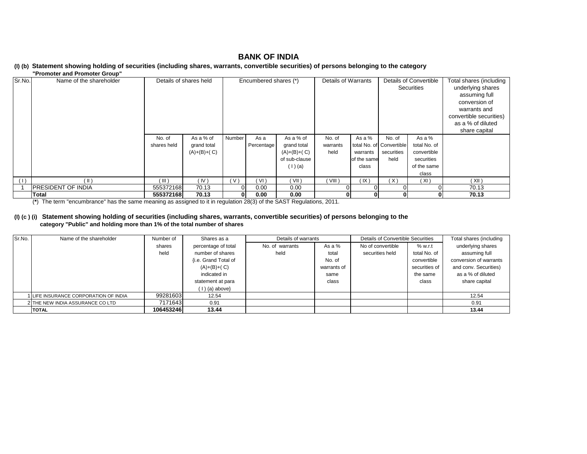#### **(I) (b) Statement showing holding of securities (including shares, warrants, convertible securities) of persons belonging to the category**

#### **"Promoter and Promoter Group"**

| Sr.No. | Name of the shareholder    | Details of shares held |               | Encumbered shares (*) |            | Details of Warrants |          | Details of Convertible |                          | Total shares (including |                         |
|--------|----------------------------|------------------------|---------------|-----------------------|------------|---------------------|----------|------------------------|--------------------------|-------------------------|-------------------------|
|        |                            |                        |               |                       |            |                     |          |                        | Securities               |                         | underlying shares       |
|        |                            |                        |               |                       |            |                     |          |                        |                          |                         | assuming full           |
|        |                            |                        |               |                       |            |                     |          |                        |                          |                         | conversion of           |
|        |                            |                        |               |                       |            |                     |          |                        |                          |                         | warrants and            |
|        |                            |                        |               |                       |            |                     |          |                        |                          |                         | convertible securities) |
|        |                            |                        |               |                       |            |                     |          |                        |                          |                         | as a % of diluted       |
|        |                            |                        |               |                       |            |                     |          |                        |                          |                         | share capital           |
|        |                            | No. of                 | As a % of     | Number                | As a       | As a % of           | No. of   | As a %                 | No. of                   | As a %                  |                         |
|        |                            | shares held            | grand total   |                       | Percentage | grand total         | warrants |                        | total No. of Convertible | total No. of            |                         |
|        |                            |                        | $(A)+(B)+(C)$ |                       |            | $(A)+(B)+(C)$       | held     | warrants               | securities               | convertible             |                         |
|        |                            |                        |               |                       |            | of sub-clause       |          | of the same            | held                     | securities              |                         |
|        |                            |                        |               |                       |            | (1)(a)              |          | class                  |                          | of the same             |                         |
|        |                            |                        |               |                       |            |                     |          |                        |                          | class                   |                         |
| (1)    | $(\parallel)$              | ( III )                | (IV)          | ( V '                 | (VI)       | (VII)               | VIII)    | (IX)                   | (X)                      | (XI)                    | (XII)                   |
|        | <b>IPRESIDENT OF INDIA</b> | 555372168              | 70.13         | $\Omega$              | 0.00       | 0.00                |          |                        |                          |                         | 70.13                   |
|        | Total                      | 555372168              | 70.13         | $\mathbf{0}$          | 0.00       | 0.00                |          |                        |                          |                         | 70.13                   |

(**\***) The term "encumbrance" has the same meaning as assigned to it in regulation 28(3) of the SAST Regulations, 2011.

#### **(I) (c ) (i) Statement showing holding of securities (including shares, warrants, convertible securities) of persons belonging to the category "Public" and holding more than 1% of the total number of shares**

| Sr.No. | Name of the shareholder             | Number of | Shares as a          | Details of warrants |             | Details of Convertible Securities | Total shares (including |                        |
|--------|-------------------------------------|-----------|----------------------|---------------------|-------------|-----------------------------------|-------------------------|------------------------|
|        |                                     | shares    | percentage of total  | No. of warrants     | As a $%$    | No of convertible                 | % w.r.t                 | underlying shares      |
|        |                                     | held      | number of shares     | held                | total       | securities held                   | total No. of            | assuming full          |
|        |                                     |           | {i.e. Grand Total of |                     | No. of      |                                   | convertible             | conversion of warrants |
|        |                                     |           | $(A)+(B)+(C)$        |                     | warrants of |                                   | securities of           | and conv. Securities)  |
|        |                                     |           | indicated in         |                     | same        |                                   | the same                | as a % of diluted      |
|        |                                     |           | statement at para    |                     | class       |                                   | class                   | share capital          |
|        |                                     |           | $(1)$ (a) above      |                     |             |                                   |                         |                        |
|        | LIFE INSURANCE CORPORATION OF INDIA | 99281603  | 12.54                |                     |             |                                   |                         | 12.54                  |
|        | 2 THE NEW INDIA ASSURANCE CO LTD    | 7171643   | 0.91                 |                     |             |                                   |                         | 0.91                   |
|        | <b>ITOTAL</b>                       | 106453246 | 13.44                |                     |             |                                   |                         | 13.44                  |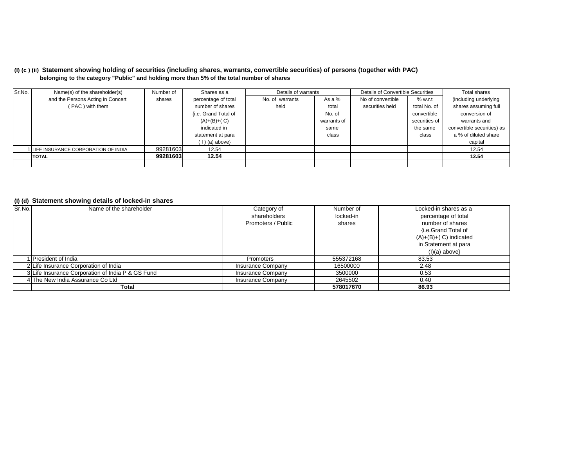#### **(I) (c ) (ii) Statement showing holding of securities (including shares, warrants, convertible securities) of persons (together with PAC) belonging to the category "Public" and holding more than 5% of the total number of shares**

| Sr.No. | Name(s) of the shareholder(s)       | Number of | Shares as a          | Details of warrants |             | Details of Convertible Securities | Total shares  |                            |
|--------|-------------------------------------|-----------|----------------------|---------------------|-------------|-----------------------------------|---------------|----------------------------|
|        | and the Persons Acting in Concert   | shares    | percentage of total  | No. of warrants     | As a %      | No of convertible                 | % w.r.t       | (including underlying      |
|        | (PAC) with them                     |           | number of shares     | held                | total       | securities held                   | total No. of  | shares assuming full       |
|        |                                     |           | {i.e. Grand Total of |                     | No. of      |                                   | convertible   | conversion of              |
|        |                                     |           | $(A)+(B)+(C)$        |                     | warrants of |                                   | securities of | warrants and               |
|        |                                     |           | indicated in         |                     | same        |                                   | the same      | convertible securities) as |
|        |                                     |           | statement at para    |                     | class       |                                   | class         | a % of diluted share       |
|        |                                     |           | $(1)$ (a) above}     |                     |             |                                   |               | capital                    |
|        | LIFE INSURANCE CORPORATION OF INDIA | 99281603  | 12.54                |                     |             |                                   |               | 12.54                      |
|        | <b>TOTAL</b>                        | 99281603  | 12.54                |                     |             |                                   |               | 12.54                      |
|        |                                     |           |                      |                     |             |                                   |               |                            |

#### **(I) (d) Statement showing details of locked-in shares**

| Sr.No. | Name of the shareholder                           | Category of              | Number of | Locked-in shares as a   |
|--------|---------------------------------------------------|--------------------------|-----------|-------------------------|
|        |                                                   | shareholders             | locked-in | percentage of total     |
|        |                                                   | Promoters / Public       | shares    | number of shares        |
|        |                                                   |                          |           | {i.e.Grand Total of     |
|        |                                                   |                          |           | $(A)+(B)+(C)$ indicated |
|        |                                                   |                          |           | in Statement at para    |
|        |                                                   |                          |           | $(I)(a)$ above}         |
|        | President of India                                | Promoters                | 555372168 | 83.53                   |
|        | 2 Life Insurance Corporation of India             | Insurance Company        | 16500000  | 2.48                    |
|        | 3 Life Insurance Corporation of India P & GS Fund | <b>Insurance Company</b> | 3500000   | 0.53                    |
|        | 4 The New India Assurance Co Ltd                  | Insurance Company        | 2645502   | 0.40                    |
|        | Total                                             |                          | 578017670 | 86.93                   |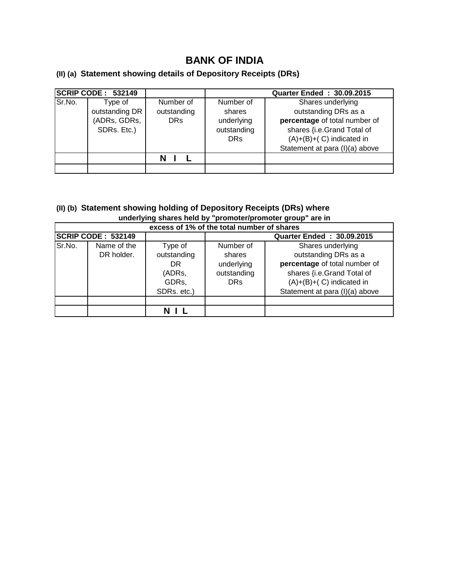## **(II) (a) Statement showing details of Depository Receipts (DRs)**

|        | <b>SCRIP CODE : 532149</b>                               |                                        | <b>Quarter Ended: 30.09.2015</b>                               |                                                                                                                                                                          |  |  |  |  |
|--------|----------------------------------------------------------|----------------------------------------|----------------------------------------------------------------|--------------------------------------------------------------------------------------------------------------------------------------------------------------------------|--|--|--|--|
| Sr.No. | Type of<br>outstanding DR<br>(ADRs, GDRs,<br>SDRs. Etc.) | Number of<br>outstanding<br><b>DRs</b> | Number of<br>shares<br>underlying<br>outstanding<br><b>DRs</b> | Shares underlying<br>outstanding DRs as a<br>percentage of total number of<br>shares {i.e.Grand Total of<br>$(A)+(B)+(C)$ indicated in<br>Statement at para (I)(a) above |  |  |  |  |
|        |                                                          |                                        |                                                                |                                                                                                                                                                          |  |  |  |  |

## **(II) (b) Statement showing holding of Depository Receipts (DRs) where underlying shares held by "promoter/promoter group" are in**

| excess of 1% of the total number of shares |                           |                                                                |                                                                |                                                                                                                                                                          |  |  |  |  |  |  |
|--------------------------------------------|---------------------------|----------------------------------------------------------------|----------------------------------------------------------------|--------------------------------------------------------------------------------------------------------------------------------------------------------------------------|--|--|--|--|--|--|
|                                            | <b>SCRIP CODE: 532149</b> |                                                                | <b>Quarter Ended: 30.09.2015</b>                               |                                                                                                                                                                          |  |  |  |  |  |  |
| Sr.No.                                     | Name of the<br>DR holder. | Type of<br>outstanding<br>DR<br>(ADRs,<br>GDRs,<br>SDRs. etc.) | Number of<br>shares<br>underlying<br>outstanding<br><b>DRs</b> | Shares underlying<br>outstanding DRs as a<br>percentage of total number of<br>shares {i.e.Grand Total of<br>$(A)+(B)+(C)$ indicated in<br>Statement at para (I)(a) above |  |  |  |  |  |  |
|                                            |                           |                                                                |                                                                |                                                                                                                                                                          |  |  |  |  |  |  |
|                                            |                           |                                                                |                                                                |                                                                                                                                                                          |  |  |  |  |  |  |